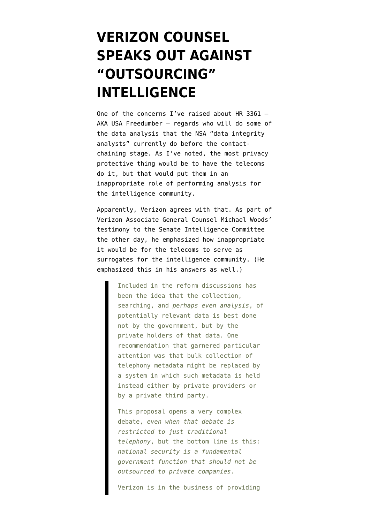## **[VERIZON COUNSEL](https://www.emptywheel.net/2014/06/07/verizon-counsel-speaks-out-against-outsourcing-intelligence/) [SPEAKS OUT AGAINST](https://www.emptywheel.net/2014/06/07/verizon-counsel-speaks-out-against-outsourcing-intelligence/) ["OUTSOURCING"](https://www.emptywheel.net/2014/06/07/verizon-counsel-speaks-out-against-outsourcing-intelligence/) [INTELLIGENCE](https://www.emptywheel.net/2014/06/07/verizon-counsel-speaks-out-against-outsourcing-intelligence/)**

One of the concerns I've raised about HR 3361 — AKA USA Freedumber — regards [who will do some of](http://www.emptywheel.net/2014/05/07/will-the-dragnet-reform-criminalize-ordering-pizza/) [the data analysis](http://www.emptywheel.net/2014/05/07/will-the-dragnet-reform-criminalize-ordering-pizza/) that the NSA "data integrity analysts" currently do before the contactchaining stage. As I've noted, the most privacy protective thing would be to have the telecoms do it, but that would put them in an inappropriate role of performing analysis for the intelligence community.

Apparently, Verizon agrees with that. As part of Verizon Associate General Counsel Michael Woods' [testimony](https://www.emptywheel.net/wp-content/uploads/2014/06/140605-Verizon-Woods-Testimony.pdf) to the Senate Intelligence Committee the other day, he emphasized how inappropriate it would be for the telecoms to serve as surrogates for the intelligence community. (He emphasized this in his answers as well.)

> Included in the reform discussions has been the idea that the collection, searching, and *perhaps even analysis*, of potentially relevant data is best done not by the government, but by the private holders of that data. One recommendation that garnered particular attention was that bulk collection of telephony metadata might be replaced by a system in which such metadata is held instead either by private providers or by a private third party.

This proposal opens a very complex debate, *even when that debate is restricted to just traditional telephony*, but the bottom line is this: *national security is a fundamental government function that should not be outsourced to private companies*.

Verizon is in the business of providing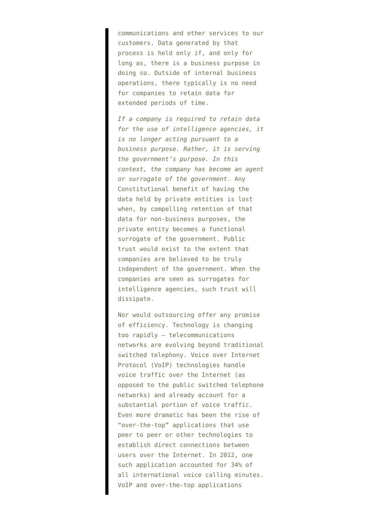communications and other services to our customers. Data generated by that process is held only if, and only for long as, there is a business purpose in doing so. Outside of internal business operations, there typically is no need for companies to retain data for extended periods of time.

*If a company is required to retain data for the use of intelligence agencies, it is no longer acting pursuant to a business purpose. Rather, it is serving the government's purpose. In this context, the company has become an agent or surrogate of the government*. Any Constitutional benefit of having the data held by private entities is lost when, by compelling retention of that data for non-business purposes, the private entity becomes a functional surrogate of the government. Public trust would exist to the extent that companies are believed to be truly independent of the government. When the companies are seen as surrogates for intelligence agencies, such trust will dissipate.

Nor would outsourcing offer any promise of efficiency. Technology is changing too rapidly — telecommunications networks are evolving beyond traditional switched telephony. Voice over Internet Protocol (VoIP) technologies handle voice traffic over the Internet (as opposed to the public switched telephone networks) and already account for a substantial portion of voice traffic. Even more dramatic has been the rise of "over-the-top" applications that use peer to peer or other technologies to establish direct connections between users over the Internet. In 2012, one such application accounted for 34% of all international voice calling minutes. VoIP and over-the-top applications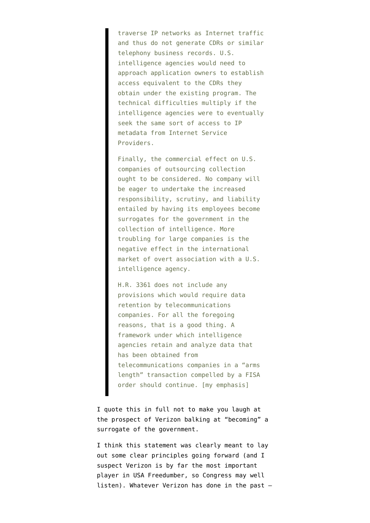traverse IP networks as Internet traffic and thus do not generate CDRs or similar telephony business records. U.S. intelligence agencies would need to approach application owners to establish access equivalent to the CDRs they obtain under the existing program. The technical difficulties multiply if the intelligence agencies were to eventually seek the same sort of access to IP metadata from Internet Service Providers.

Finally, the commercial effect on U.S. companies of outsourcing collection ought to be considered. No company will be eager to undertake the increased responsibility, scrutiny, and liability entailed by having its employees become surrogates for the government in the collection of intelligence. More troubling for large companies is the negative effect in the international market of overt association with a U.S. intelligence agency.

H.R. 3361 does not include any provisions which would require data retention by telecommunications companies. For all the foregoing reasons, that is a good thing. A framework under which intelligence agencies retain and analyze data that has been obtained from telecommunications companies in a "arms length" transaction compelled by a FISA order should continue. [my emphasis]

I quote this in full not to make you laugh at the prospect of Verizon balking at "becoming" a surrogate of the government.

I think this statement was clearly meant to lay out some clear principles going forward (and I suspect Verizon is by far the most important player in USA Freedumber, so Congress may well listen). Whatever Verizon has done in the past —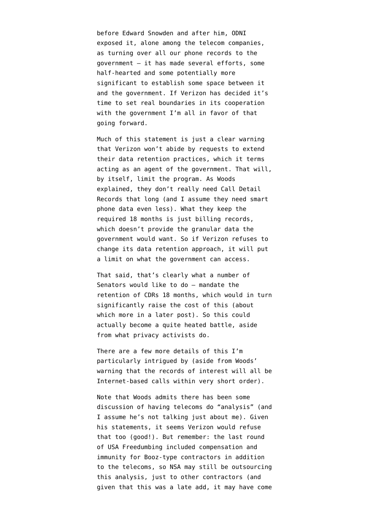before Edward Snowden and after him, [ODNI](http://www.emptywheel.net/2014/01/21/scorecard-snowden-related-publication-of-verizons-name-1-ondi-publication-of-verizons-name-1/) exposed it, alone among the telecom companies, as turning over all our phone records to the government — it has made several efforts, some [half-hearted](http://www.emptywheel.net/2014/04/28/the-verizon-publicity-stunt-mosaic-theory-and-collective-fourth-amendment-rights/) and some [potentially more](http://www.emptywheel.net/2014/02/09/will-nsa-lose-access-to-all-verizon-cell-metadata-in-12-days-time/) [significant](http://www.emptywheel.net/2014/02/09/will-nsa-lose-access-to-all-verizon-cell-metadata-in-12-days-time/) to establish some space between it and the government. If Verizon has decided it's time to set real boundaries in its cooperation with the government I'm all in favor of that going forward.

Much of this statement is just a clear warning that Verizon won't abide by requests to extend their data retention practices, which it terms acting as an agent of the government. That will, by itself, limit the program. As Woods explained, they don't really need Call Detail Records that long (and I assume they need smart phone data even less). What they keep the required 18 months is just billing records, which doesn't provide the granular data the government would want. So if Verizon refuses to change its data retention approach, it will put a limit on what the government can access.

That said, that's clearly what a number of Senators would like to do — mandate the retention of CDRs 18 months, which would in turn significantly raise the cost of this (about which more in a later post). So this could actually become a quite heated battle, aside from what privacy activists do.

There are a few more details of this I'm particularly intrigued by (aside from Woods' warning that the records of interest will all be Internet-based calls within very short order).

Note that Woods admits there has been some discussion of having telecoms do "analysis" (and I assume he's not talking just about me). Given his statements, it seems Verizon would refuse that too (good!). But remember: the last round of USA Freedumbing [included compensation and](http://www.emptywheel.net/2014/05/20/new-improved-usa-freedumb-act-with-twice-the-contractors-compensated/) [immunity for Booz-type contractors in addition](http://www.emptywheel.net/2014/05/20/new-improved-usa-freedumb-act-with-twice-the-contractors-compensated/) [to the telecoms,](http://www.emptywheel.net/2014/05/20/new-improved-usa-freedumb-act-with-twice-the-contractors-compensated/) so NSA may still be outsourcing this analysis, just to other contractors (and given that this was a late add, it may have come